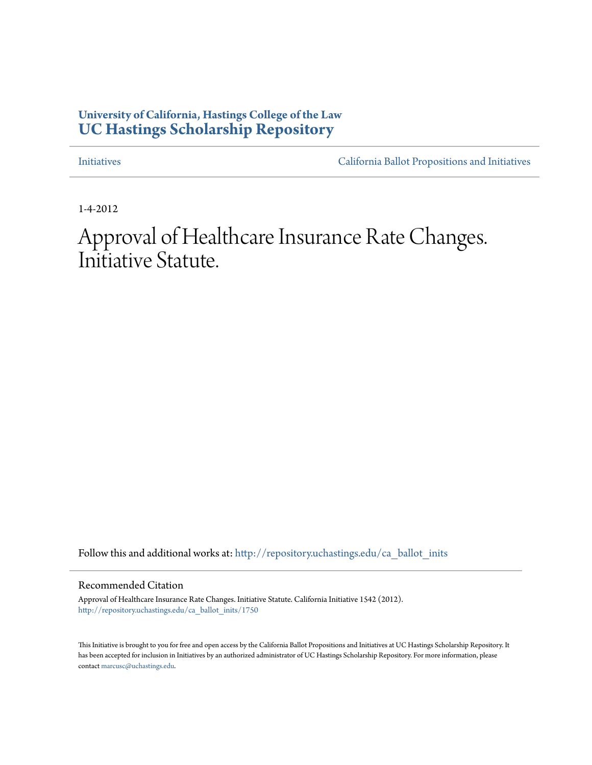# **University of California, Hastings College of the Law [UC Hastings Scholarship Repository](http://repository.uchastings.edu?utm_source=repository.uchastings.edu%2Fca_ballot_inits%2F1750&utm_medium=PDF&utm_campaign=PDFCoverPages)**

[Initiatives](http://repository.uchastings.edu/ca_ballot_inits?utm_source=repository.uchastings.edu%2Fca_ballot_inits%2F1750&utm_medium=PDF&utm_campaign=PDFCoverPages) [California Ballot Propositions and Initiatives](http://repository.uchastings.edu/ca_ballots?utm_source=repository.uchastings.edu%2Fca_ballot_inits%2F1750&utm_medium=PDF&utm_campaign=PDFCoverPages)

1-4-2012

Approval of Healthcare Insurance Rate Changes. Initiative Statute.

Follow this and additional works at: [http://repository.uchastings.edu/ca\\_ballot\\_inits](http://repository.uchastings.edu/ca_ballot_inits?utm_source=repository.uchastings.edu%2Fca_ballot_inits%2F1750&utm_medium=PDF&utm_campaign=PDFCoverPages)

Recommended Citation

Approval of Healthcare Insurance Rate Changes. Initiative Statute. California Initiative 1542 (2012). [http://repository.uchastings.edu/ca\\_ballot\\_inits/1750](http://repository.uchastings.edu/ca_ballot_inits/1750?utm_source=repository.uchastings.edu%2Fca_ballot_inits%2F1750&utm_medium=PDF&utm_campaign=PDFCoverPages)

This Initiative is brought to you for free and open access by the California Ballot Propositions and Initiatives at UC Hastings Scholarship Repository. It has been accepted for inclusion in Initiatives by an authorized administrator of UC Hastings Scholarship Repository. For more information, please contact [marcusc@uchastings.edu](mailto:marcusc@uchastings.edu).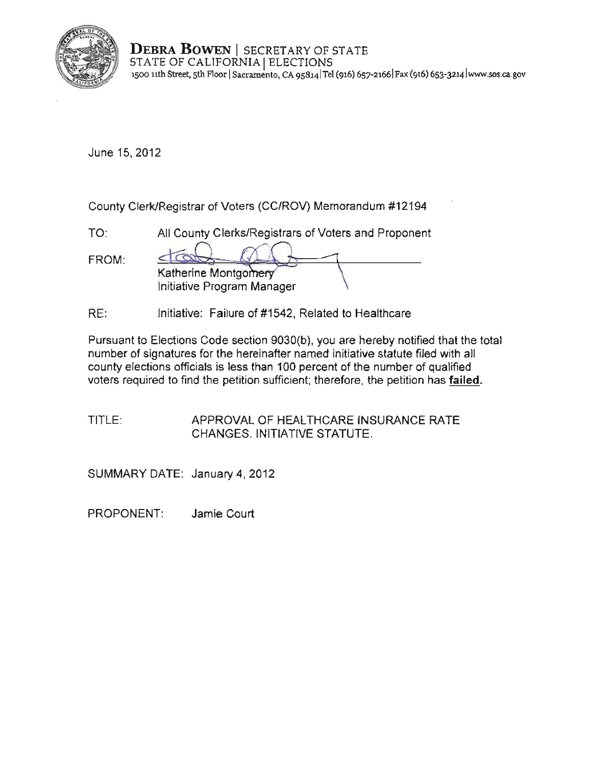

**DEBRA BOWEN** | SECRETARY OF STATE STATE OF CALIFORNIA | ELECTIONS **1500 11th Street, sth Floor ISacramento, CA 9S814jTe1 (916) 6S7-2166 IFax (916) 653-3214 lwww.sos.ca.gov** 

June 15, 2012

County Clerk/Registrar of Voters (CC/ROV) Memorandum #12194

TO: All County Clerks/Registrars of Voters and Proponent

| FROM: |                            |  |
|-------|----------------------------|--|
|       | Katherine Montgomery       |  |
|       | Initiative Program Manager |  |

RE: Initiative: Failure of #1542, Related to Healthcare

Pursuant to Elections Code section 9030(b), you are hereby notified that the total number of signatures for the hereinafter named initiative statute filed with ali county elections officials is less than 100 percent of the number of qualified voters required to find the petition sufficient; therefore, the petition has **failed.** 

TITLE: APPROVAL OF HEALTHCARE INSURANCE RATE CHANGES. INITIATIVE STATUTE.

SUMMARY DATE: January 4, 2012

PROPONENT: Jamie Court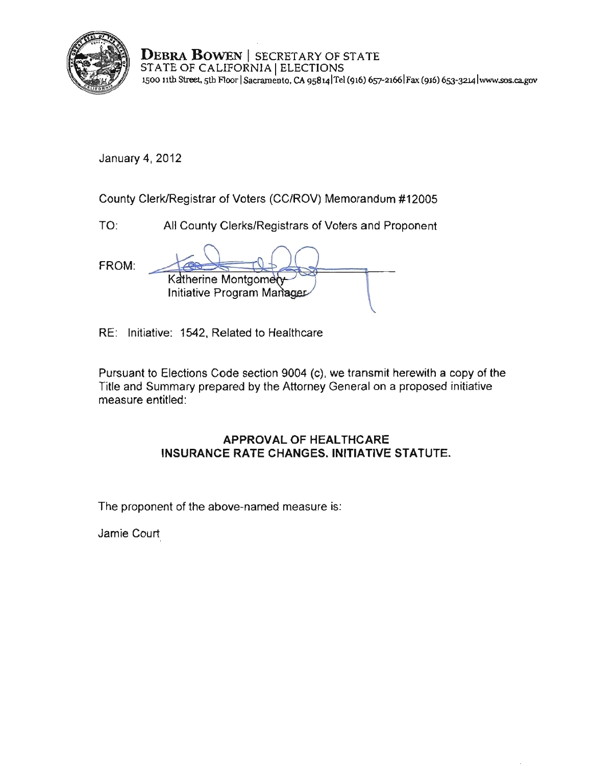

**DEBRA BOWEN** I SECRETARY OF STATE STATE OF CALIFORNIA | ELECTIONS **1500 nth Street, sth Aoor ISacramento, CA 9s8141Tcl (916) 657-21661Fax (916) 653-3214 lwww.sos.ca.gov** 

January 4, 2012

County Clerk/Registrar of Voters (CC/ROV) Memorandum #12005

TO: All County Clerks/Registrars of Voters and Proponent

FROM: Katherine Montgomery Initiative Program Manager

RE: Initiative: 1542, Related to Heallhcare

Pursuant to Elections Code section 9004 (c), we transmit herewith a copy of the Title and Summary prepared by the Attorney General on a proposed initiative measure entitled:

## **APPROVAL OF HEALTHCARE INSURANCE RATE** CHANGES. INITIATIVE **STATUTE.**

The proponent of the above-named measure is:

Jamie Court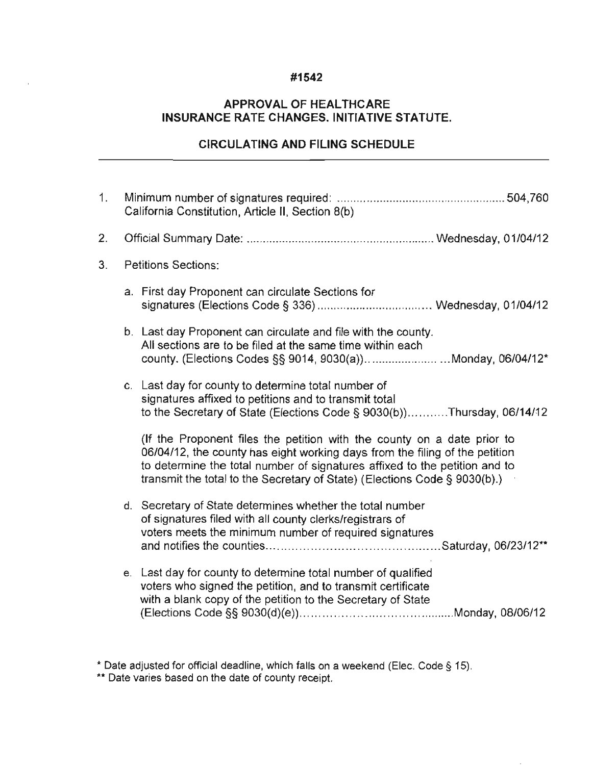## **#1542**

## **APPROVAL OF HEALTHCARE INSURANCE RATE CHANGES. INITIATIVE STATUTE.**

## **CIRCULATING AND FILING SCHEDULE**

| 1. | California Constitution, Article II, Section 8(b) |                                                                                                                                                                                                                                                                                                                   |
|----|---------------------------------------------------|-------------------------------------------------------------------------------------------------------------------------------------------------------------------------------------------------------------------------------------------------------------------------------------------------------------------|
| 2. |                                                   |                                                                                                                                                                                                                                                                                                                   |
| 3. | <b>Petitions Sections:</b>                        |                                                                                                                                                                                                                                                                                                                   |
|    |                                                   | a. First day Proponent can circulate Sections for                                                                                                                                                                                                                                                                 |
|    |                                                   | b. Last day Proponent can circulate and file with the county.<br>All sections are to be filed at the same time within each<br>county. (Elections Codes §§ 9014, 9030(a))Monday, 06/04/12*                                                                                                                         |
|    |                                                   | c. Last day for county to determine total number of<br>signatures affixed to petitions and to transmit total<br>to the Secretary of State (Elections Code § 9030(b))Thursday, 06/14/12                                                                                                                            |
|    |                                                   | (If the Proponent files the petition with the county on a date prior to<br>06/04/12, the county has eight working days from the filing of the petition<br>to determine the total number of signatures affixed to the petition and to<br>transmit the total to the Secretary of State) (Elections Code § 9030(b).) |
|    |                                                   | d. Secretary of State determines whether the total number<br>of signatures filed with all county clerks/registrars of<br>voters meets the minimum number of required signatures                                                                                                                                   |
|    |                                                   | e. Last day for county to determine total number of qualified<br>voters who signed the petition, and to transmit certificate<br>with a blank copy of the petition to the Secretary of State                                                                                                                       |

**<sup>\*</sup> Date adjusted for official deadline, which falls on a weekend (Elee. Code § 15).** 

**<sup>\*\*</sup> Date varies based on the date of county receipt.**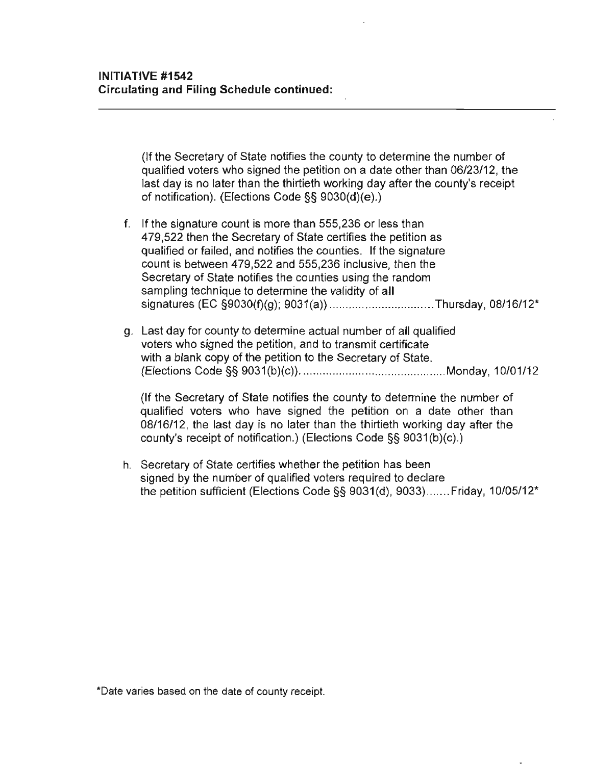(If the Secretary of State notifies the county to determine the number of qualified voters who signed the petition on a date other than 06/23/12, the last day is no later than the thirtieth working day after the county's receipt of notification). (Elections Code §§ 9030(d)(e).)

- f. If the signature count is more than 555,236 or less than 479,522 then the Secretary of State certifies the petition as qualified or failed, and notifies the counties. If the signature count is between 479,522 and 555,236 inclusive, then the Secretary of State notifies the counties using the random sampling technique to determine the validity of **all**  signatures (EC §9030(f)(g); 9031 (a)) ... ..................... Thursday, 08/16/12"
- g. Last day for county to determine actual number of all qualified voters who signed the petition, and to transmit certificate with a blank copy of the petition to the Secretary of State. (Elections Code §§ 9031 (b)(c)) ............................................. Monday, 10/01/12

(If the Secretary of State notifies the county to detenmine the number of qualified voters who have signed the petition on a date other than 08/16/12, the last day is no later than the thirtieth working day after the county's receipt of notification.) (Elections Code §§ 9031 (b)(c).)

h. Secretary of State certifies whether the petition has been signed by the number of qualified voters required to declare the petition sufficient (Elections Code §§ 9031(d), 9033)....... Friday, 10/05/12\*

**\*Date varies based on the date of county receipt.**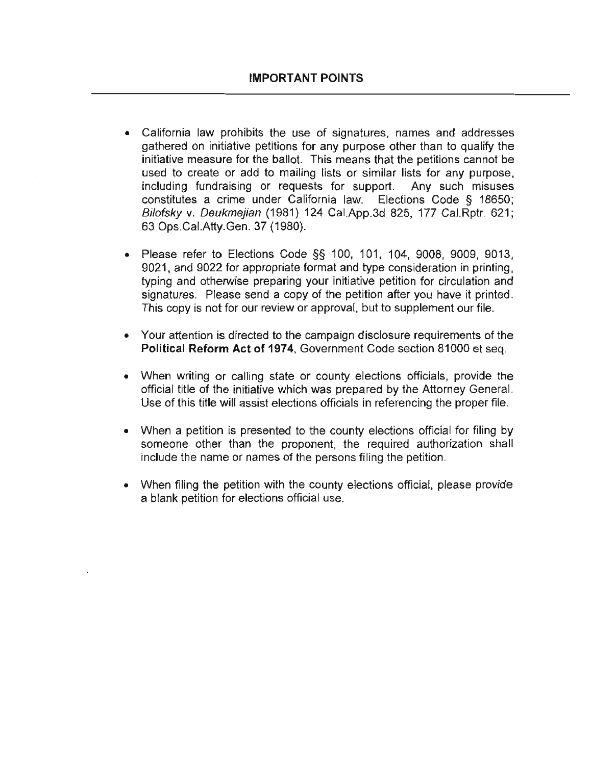- California law prohibits the use of signatures, names and addresses gathered on initiative petitions for any purpose other than to qualify the initiative measure for the ballot. This means that the petitions cannot be used to create or add to mailing lists or similar lists for any purpose, including fundraising or requests for support. Any such misuses constitutes a crime under California law. Elections Code § 18650; Bifotsky v. Deukmejian (1981) 124 Cal.App.3d 825, 177 Cal.Rptr. 621; 63 Ops.CaI.Atty.Gen. 37 (1980).
- Please refer to Elections Code  $\S$ § 100, 101, 104, 9008, 9009, 9013, 9021, and 9022 for appropriate format and type consideration in printing, typing and otherwise preparing your initiative petition for circulation and signatures. Please send a copy of the petition after you have it printed. This copy is not for our review or approval, but to supplement our file.
- **Your attention is directed to the campaign disclosure requirements of the**  Political Reform Act of 1974, Government Code section 81000 et seq.
- When writing or calling state or county elections officials, provide the official title of the initiative which was prepared by the Attorney General. Use of this title will assist elections officials in referencing the proper file.
- When a petition is presented to the county elections official for filing by someone other than the proponent, the required authorization shall include the name or names of the persons filing the petition.
- When filing the petition with the county elections official, please provide a blank petition for elections official use.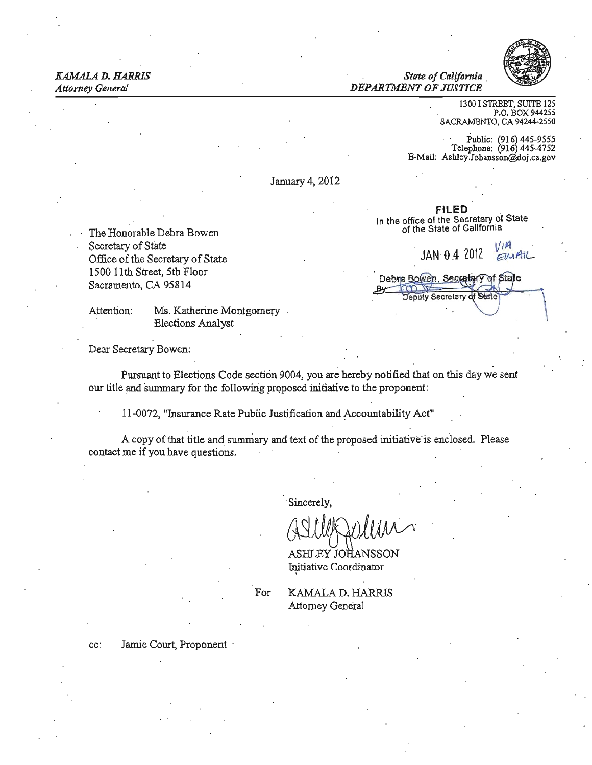#### KAMALA D. HARRIS *State of California Attorney General DEPARTMENT OF JUSTICE*



1300 I STREET, SUITE 125 P.O. BOX 944255 SACRAMENTO, CA 94244·2550

Public:  $(916)$  445-9555 Telephone: (916) 445-4752 E-Mail: Ashley.Johansson@doj.ca.gov

FILED<br>In the office of the Secretary of State<br>of the State of California

Debra Bowen, Secretary of State Deputy Secretary of State

January 4,2012

The Honorable Debra Bowen Secretary of State Secretary of State . JAN 0.4 2012  $\frac{V}{W}$ <br>Office of the Secretary of State . JAN 0.4 2012  $\frac{V}{W}$ 1500 11th Street, 5th Floor Sacramento, CA 95814

Attention: Ms. Katherine Montgomery

Dear Secretary Bowen:

-Elections Analyst

Pursuant to Elections Code section 9004, you are hereby notified that on this day we sent our title and summary for the following proposed initiative to the proponent:

11-0072, "Insurance Rate Public Justification and Accountability Act"

A copy of that title and summary and text of the proposed initiative is enclosed. Please contact me if you have questions.

. Sincerely,

(ASULA)

ASHLEY JOHANSSON Initiative Coordinator ,

For KAMALA D. HARRIS Attorney Genera!

cc: Jamie Court, Proponent ·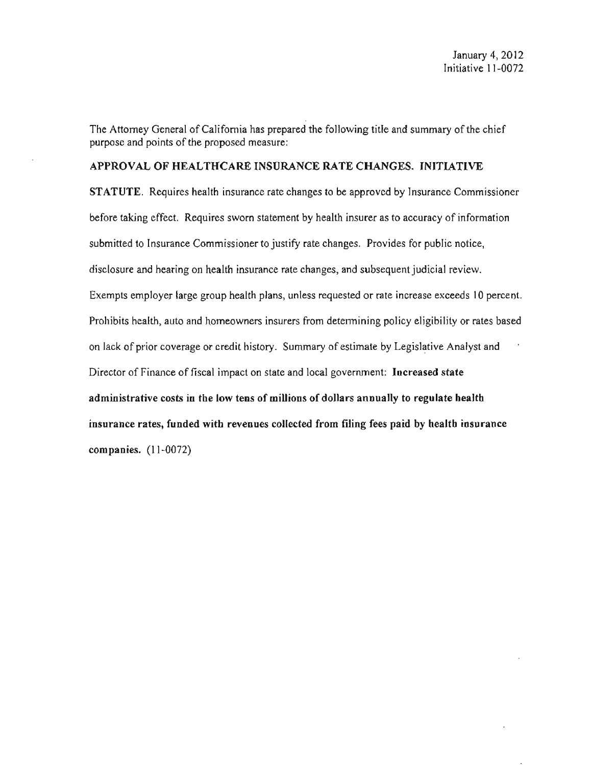The Attorney General of California has prepared the following title and summary of the chief purpose and points of the proposed measure:

### APPROVAL OF HEALTHCARE INSURANCE RATE CHANGES. INITlATlVE

STATUTE. Requires health insurance rate changes to be approved by Insurance Commissioner before taking effect. Requires sworn statement by health insurer as to accuracy of information submitted to Insurance Commissioner to justify rate changes. Provides for public notice, disclosure and hearing on health insurance rate changes, and subsequent judicial review. Exempts employer large group health plans, unless requested or rate increase exceeds 10 percent. Prohibits health, auto and homeowners insurers from determining policy eligibility or rates based on lack of prior coverage or credit history. Summary of estimate by Legislative Analyst and Director of Finance of fiscal impact on state and local government: Increased state administrative costs in the low tens of millions of dollars annually to regulate health insurance rates, funded with revenues collected from filing fees paid by health insurance companies. (11-0072)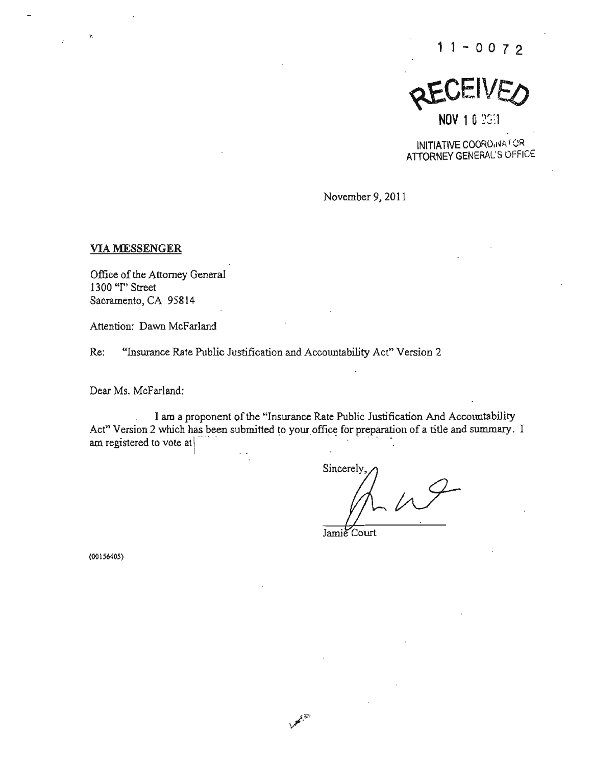REVEIVEO  $NOV$  1 0  $2G/1$ 

INITIATIVE COORD (NATOR ATTORNEY GENERAL'S OFFICE

November 9, 2011

#### VIA MESSENGER

**Office of the Attorney General 1300 "I" Street**  Sacramento, CA 95814

**Attention: Dawn McFarland** 

**Re: "Insurance Rate Public Justification and Accountability Act" Version 2** 

Dear Ms. McFarland:

I am a proponent of the "Insurance Rate Public Justification And Accountability Act" Version 2 which has been submitted to your office for preparation of a title and summary. I<br>am registered to vote at

Sincerely

**Jamie Court** 

**(00 156405)**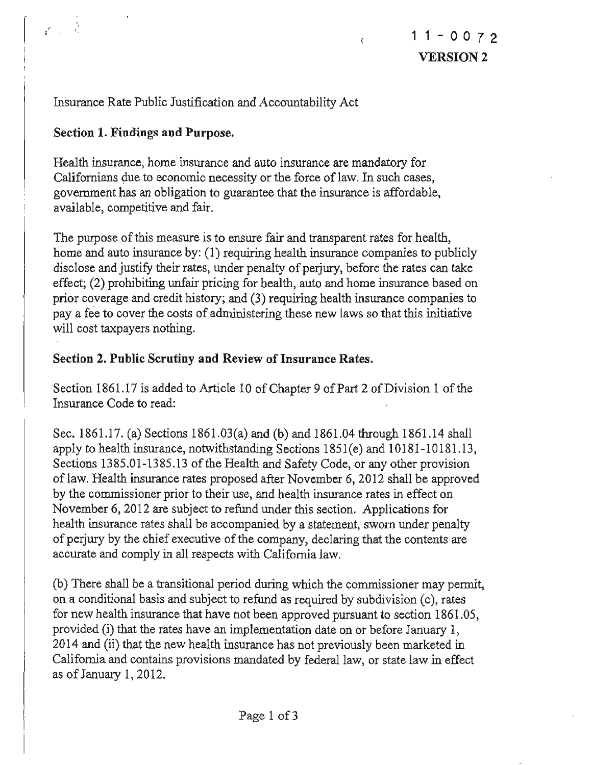Insurance Rate Public Justification and Accountability Act

# Section 1. Findings and Purpose.

Health insurance, home insurance and auto insurance are mandatory for Californians due to economic necessity or the force of law. In such cases, government has an obligation to guarantee that the insurance is affordable, available, competitive and fair.

The purpose of this measure is to ensure fair and transparent rates for health, home and auto insurance by: (1) requiring health insurance companies to publicly disclose and justify their rates, under penalty of perjury, before the rates can take effect; (2) prohibiting unfair pricing for health, auto and home insurance based on prior coverage and credit history; and (3) requiring health insurance companies to pay a fee to cover the costs of administering these new laws so that this initiative will cost taxpayers nothing.

# Section 2. Public Scrutiny and Review of Insurance Rates.

Section 1861.17 is added to Article 10 of Chapter 9 of Part 2 of Division 1 of the Insurance Code to read:

Sec. 1861.17. (a) Sections 1861.03(a) and (b) and 1861.04 through 1861.14 shall apply to health insurance, notwithstanding Sections 1851(e) and 10181-10181.13, Sections 1385.01-1385.13 of the Health and Safety Code, or any other provision of law. Health insurance rates proposed after November 6, 2012 shall be approved by the commissioner prior to their use, and health insurance rates in effect on November 6, 2012 are subject to refund under this section. Applications for health insurance rates shall be accompanied by a statement, sworn under penalty of perjury by the chief executive ofthe company, declaring that the contents are accurate and comply in all respects with California law.

(b) There shall be a transitional period during which the commissioner may permit, on a conditional basis and subject to refund as required by subdivision (c), rates for new health insurance that have not been approved pursuant to section 1861.05, provided (i) that the rates have an implementation date on or before January I, 2014 and (ii) that the new health insurance has not previously been marketed in California and contains provisions mandated by federal law, or state law in effect as ofJanuary 1,2012.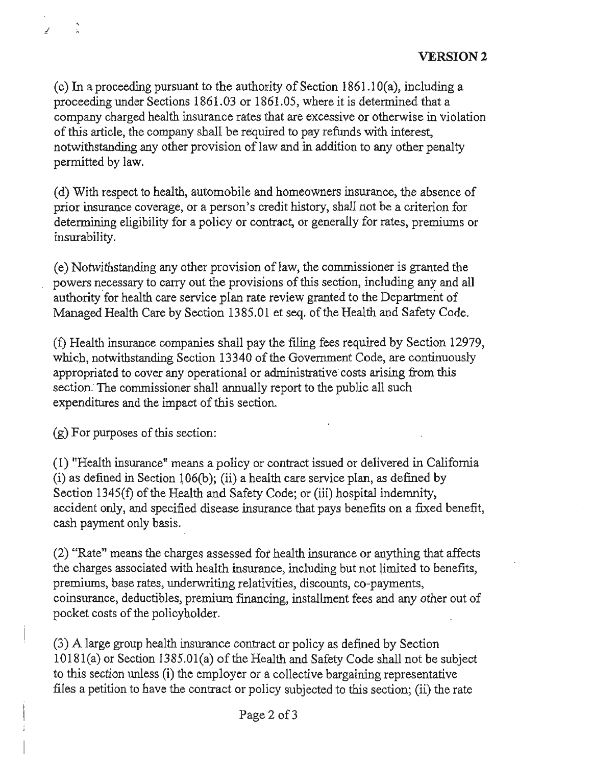(c) In a proceeding pursuant to the authority of Section 1861.10(a), including a proceeding under Sections 1861.03 or 1861.05, where it is determined that a company charged health insurance rates that are excessive or otherwise in violation of this article, the company shall be required to pay refunds with interest, notwithstanding any other provision of law and in addition to any other penalty permitted by law.

(d) With respect to health, automobile and homeowners insurance, the absence of **prior insurance coverage, or a person's credit history, shall not be a criterion for**  determining eligibility for a policy or contract, or generally for rates, premiums or insurability.

(e) Notwithstanding any other provision of law, the commissioner is granted the powers necessary to carry out the provisions of this section, including any and all authority for health care service plan rate review granted to the Department of Managed Health Care by Section 1385.Ql et seq. of the Health and Safety Code.

(I) Health insurance companies shall pay the filing fees required by Section 12979, which, notwithstanding Section 13340 of the Government Code, are continuously appropriated to cover any operational or administrative costs arising from this section. The commissioner shall annually report to the public all such expenditures and the impact of this section.

 $(g)$  For purposes of this section:

¥

(I) "Health insurance" means a policy or contract issued or delivered in Califomia (i) as defined in Section 106(b); (ii) a health care service plan, as defined by Section 1345(f) of the Health and Safety Code; or (iii) hospital indemnity, accident only, and specified disease insurance that pays benefits on a fixed benefit, cash payment only basis.

(2) "Rate" means the charges assessed fot health insurance or anything that affects the charges associated with health insurance, including but not limited to benefits, **premiums, base rates, underwriting relativities, discounts, co-payments,**  coinsurance, deductibles, premium fmancing, installment fees and any other out of pocket costs of the policyholder.

(3) A large group health insurance contract or policy as defined by Section  $10181(a)$  or Section  $1385.01(a)$  of the Health and Safety Code shall not be subject to this section unless (i) the employer or a collective bargaining representative files a petition to have the contract or policy subjected to this section; (ii) the rate